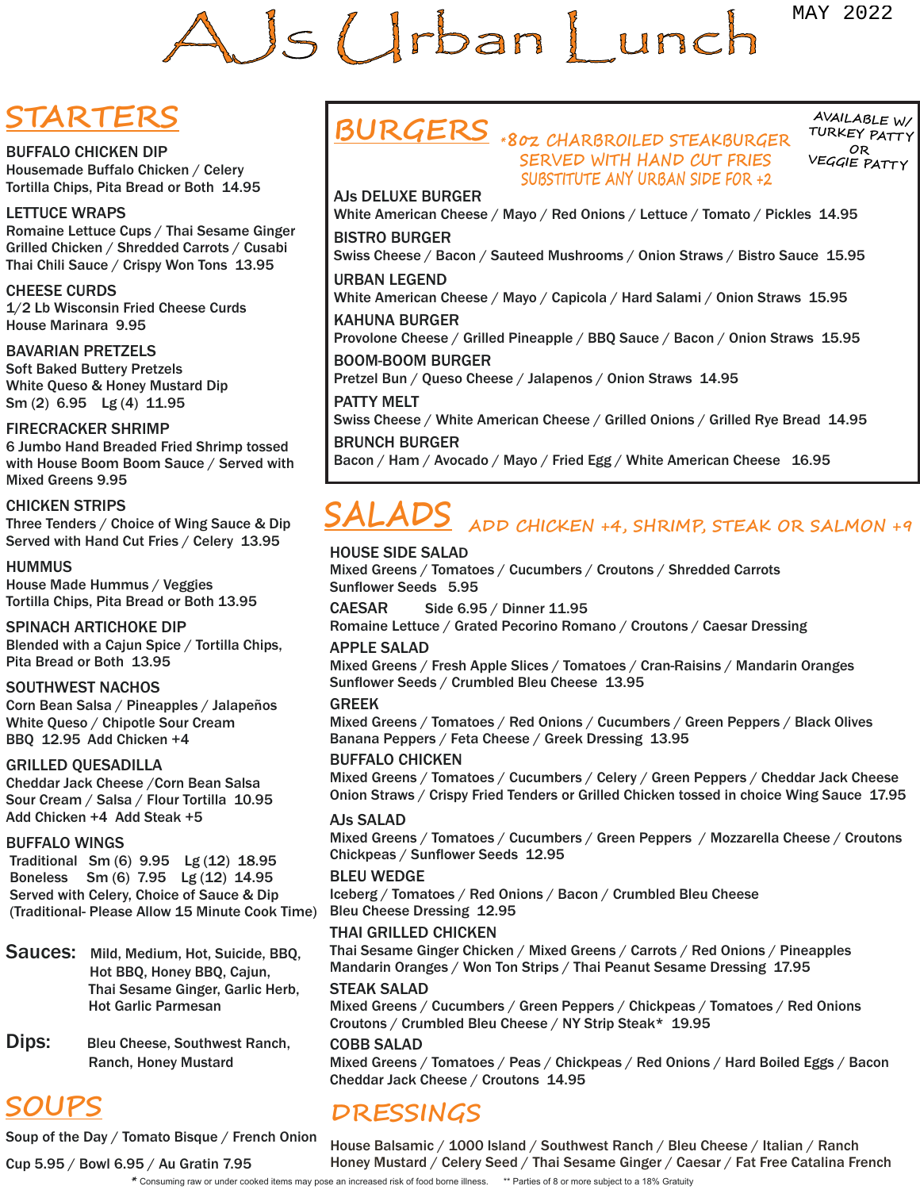# AJS Urban Lunch **AND SCULP CONSULT IS A CONSULT A STATE OF FOUR CONSULTS AND CONSULTS IN THE CONSULTS AND CONSULTS IN THE CONSULTS IN THE CONSULTS IN THE CONSULTS IN THE CONSULTS IN THE CONSULTS IN THE CONSULTS IN THE CONSULTS IN THE CON**

# **STARTERS**

BUFFALO CHICKEN DIP Housemade Buffalo Chicken / Celery Tortilla Chips, Pita Bread or Both 14.95

### LETTUCE WRAPS

Romaine Lettuce Cups / Thai Sesame Ginger Grilled Chicken / Shredded Carrots / Cusabi Thai Chili Sauce / Crispy Won Tons 13.95

### CHEESE CURDS

1/2 Lb Wisconsin Fried Cheese Curds House Marinara 9.95

BAVARIAN PRETZELS Soft Baked Buttery Pretzels White Queso & Honey Mustard Dip Sm (2) 6.95 Lg (4) 11.95

### FIRECRACKER SHRIMP

6 Jumbo Hand Breaded Fried Shrimp tossed with House Boom Boom Sauce / Served with Mixed Greens 9.95

### CHICKEN STRIPS

Three Tenders / Choice of Wing Sauce & Dip Served with Hand Cut Fries / Celery 13.95

HUMMUS House Made Hummus / Veggies Tortilla Chips, Pita Bread or Both 13.95

### SPINACH ARTICHOKE DIP

Blended with a Cajun Spice / Tortilla Chips, Pita Bread or Both 13.95

### SOUTHWEST NACHOS

Corn Bean Salsa / Pineapples / Jalapeños White Queso / Chipotle Sour Cream BBQ 12.95 Add Chicken +4

### GRILLED QUESADILLA

Cheddar Jack Cheese /Corn Bean Salsa Sour Cream / Salsa / Flour Tortilla 10.95 Add Chicken +4 Add Steak +5

### BUFFALO WINGS

 Traditional Sm (6) 9.95 Lg (12) 18.95 Boneless Sm (6) 7.95 Lg (12) 14.95 Served with Celery, Choice of Sauce & Dip (Traditional- Please Allow 15 Minute Cook Time)

Sauces: Mild, Medium, Hot, Suicide, BBQ, Hot BBQ, Honey BBQ, Cajun, Thai Sesame Ginger, Garlic Herb, Hot Garlic Parmesan

Dips: Bleu Cheese, Southwest Ranch, Ranch, Honey Mustard

# **SOUPS**

Soup of the Day / Tomato Bisque / French Onion

**BURGERS \*8oz CHARBROILED STEAKBURGER SERVED WITH HAND CUT FRIES SUBSTITUTE ANY URBAN SIDE FOR +2**

**AVAILABLE W/ TURKEY PATT <sup>Y</sup> OR VEGGIE PATT <sup>Y</sup>**

AJs DELUXE BURGER White American Cheese / Mayo / Red Onions / Lettuce / Tomato / Pickles 14.95 BISTRO BURGER

Swiss Cheese / Bacon / Sauteed Mushrooms / Onion Straws / Bistro Sauce 15.95

URBAN LEGEND White American Cheese / Mayo / Capicola / Hard Salami / Onion Straws 15.95 KAHUNA BURGER

Provolone Cheese / Grilled Pineapple / BBQ Sauce / Bacon / Onion Straws 15.95

BOOM-BOOM BURGER Pretzel Bun / Queso Cheese / Jalapenos / Onion Straws 14.95

PATTY MELT

Swiss Cheese / White American Cheese / Grilled Onions / Grilled Rye Bread 14.95

### BRUNCH BURGER

Bacon / Ham / Avocado / Mayo / Fried Egg / White American Cheese 16.95

# **SALADS ADD CHICKEN +4, SHRIMP, STEAK OR SALMON +9**

### HOUSE SIDE SALAD

Mixed Greens / Tomatoes / Cucumbers / Croutons / Shredded Carrots Sunflower Seeds 5.95

CAESAR Side 6.95 / Dinner 11.95

Romaine Lettuce / Grated Pecorino Romano / Croutons / Caesar Dressing

### APPLE SALAD

Mixed Greens / Fresh Apple Slices / Tomatoes / Cran-Raisins / Mandarin Oranges Sunflower Seeds / Crumbled Bleu Cheese 13.95

### GREEK

Mixed Greens / Tomatoes / Red Onions / Cucumbers / Green Peppers / Black Olives Banana Peppers / Feta Cheese / Greek Dressing 13.95

### BUFFALO CHICKEN

Mixed Greens / Tomatoes / Cucumbers / Celery / Green Peppers / Cheddar Jack Cheese Onion Straws / Crispy Fried Tenders or Grilled Chicken tossed in choice Wing Sauce 17.95

### AJs SALAD

Mixed Greens / Tomatoes / Cucumbers / Green Peppers / Mozzarella Cheese / Croutons Chickpeas / Sunflower Seeds 12.95

### BLEU WEDGE

Iceberg / Tomatoes / Red Onions / Bacon / Crumbled Bleu Cheese Bleu Cheese Dressing 12.95

### THAI GRILLED CHICKEN

Thai Sesame Ginger Chicken / Mixed Greens / Carrots / Red Onions / Pineapples Mandarin Oranges / Won Ton Strips / Thai Peanut Sesame Dressing 17.95

### STEAK SALAD

Mixed Greens / Cucumbers / Green Peppers / Chickpeas / Tomatoes / Red Onions Croutons / Crumbled Bleu Cheese / NY Strip Steak\* 19.95

### COBB SALAD

Mixed Greens / Tomatoes / Peas / Chickpeas / Red Onions / Hard Boiled Eggs / Bacon Cheddar Jack Cheese / Croutons 14.95

# **DRESSINGS**

House Balsamic / 1000 Island / Southwest Ranch / Bleu Cheese / Italian / Ranch Honey Mustard / Celery Seed / Thai Sesame Ginger / Caesar / Fat Free Catalina French